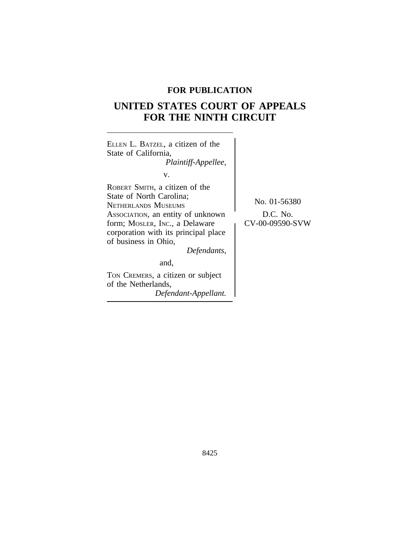## **FOR PUBLICATION**

# **UNITED STATES COURT OF APPEALS FOR THE NINTH CIRCUIT**

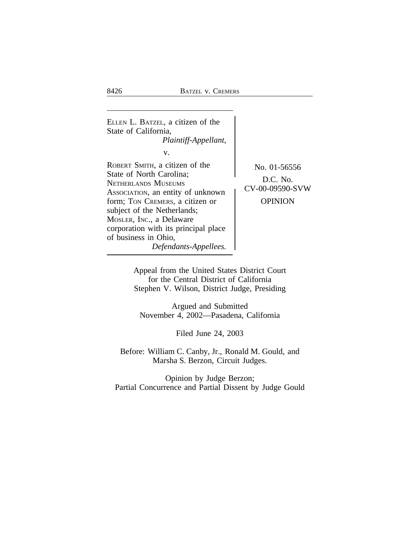<sup>E</sup>LLEN L. BATZEL, a citizen of the State of California, *Plaintiff-Appellant,* v. ROBERT SMITH, a citizen of the  $N_0$ , 01-56556 State of North Carolina; D.C. No.<br>NETHERLANDS MUSEUMS<br>Association on ordinary of unknown Association, an entity of unknown form; Ton Cremers, a citizen or  $\qquad$  OPINION subject of the Netherlands; MOSLER, INC., a Delaware corporation with its principal place of business in Ohio, *Defendants-Appellees.*

> Appeal from the United States District Court for the Central District of California Stephen V. Wilson, District Judge, Presiding

Argued and Submitted November 4, 2002—Pasadena, California

Filed June 24, 2003

Before: William C. Canby, Jr., Ronald M. Gould, and Marsha S. Berzon, Circuit Judges.

Opinion by Judge Berzon; Partial Concurrence and Partial Dissent by Judge Gould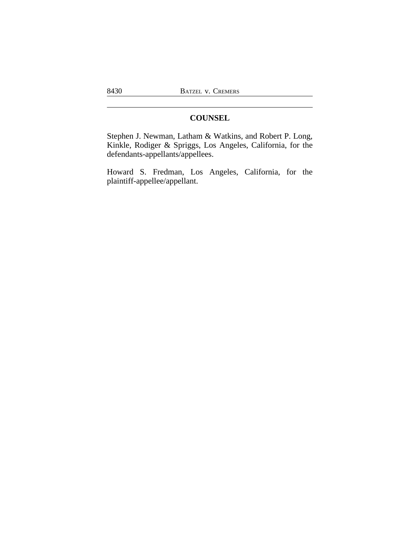## **COUNSEL**

Stephen J. Newman, Latham & Watkins, and Robert P. Long, Kinkle, Rodiger & Spriggs, Los Angeles, California, for the defendants-appellants/appellees.

Howard S. Fredman, Los Angeles, California, for the plaintiff-appellee/appellant.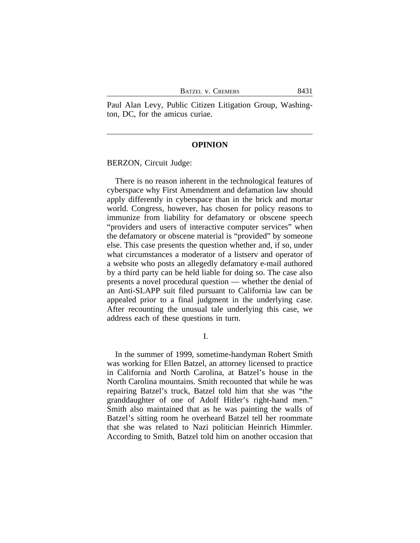Paul Alan Levy, Public Citizen Litigation Group, Washington, DC, for the amicus curiae.

#### **OPINION**

BERZON, Circuit Judge:

There is no reason inherent in the technological features of cyberspace why First Amendment and defamation law should apply differently in cyberspace than in the brick and mortar world. Congress, however, has chosen for policy reasons to immunize from liability for defamatory or obscene speech "providers and users of interactive computer services" when the defamatory or obscene material is "provided" by someone else. This case presents the question whether and, if so, under what circumstances a moderator of a listserv and operator of a website who posts an allegedly defamatory e-mail authored by a third party can be held liable for doing so. The case also presents a novel procedural question — whether the denial of an Anti-SLAPP suit filed pursuant to California law can be appealed prior to a final judgment in the underlying case. After recounting the unusual tale underlying this case, we address each of these questions in turn.

I.

In the summer of 1999, sometime-handyman Robert Smith was working for Ellen Batzel, an attorney licensed to practice in California and North Carolina, at Batzel's house in the North Carolina mountains. Smith recounted that while he was repairing Batzel's truck, Batzel told him that she was "the granddaughter of one of Adolf Hitler's right-hand men." Smith also maintained that as he was painting the walls of Batzel's sitting room he overheard Batzel tell her roommate that she was related to Nazi politician Heinrich Himmler. According to Smith, Batzel told him on another occasion that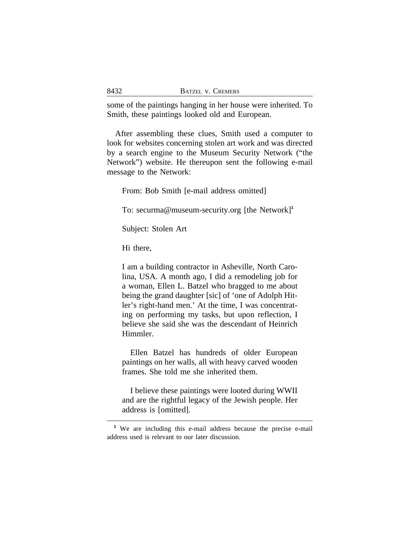some of the paintings hanging in her house were inherited. To Smith, these paintings looked old and European.

After assembling these clues, Smith used a computer to look for websites concerning stolen art work and was directed by a search engine to the Museum Security Network ("the Network") website. He thereupon sent the following e-mail message to the Network:

From: Bob Smith [e-mail address omitted]

To: securma@museum-security.org [the Network]**<sup>1</sup>**

Subject: Stolen Art

Hi there,

I am a building contractor in Asheville, North Carolina, USA. A month ago, I did a remodeling job for a woman, Ellen L. Batzel who bragged to me about being the grand daughter [sic] of 'one of Adolph Hitler's right-hand men.' At the time, I was concentrating on performing my tasks, but upon reflection, I believe she said she was the descendant of Heinrich Himmler.

Ellen Batzel has hundreds of older European paintings on her walls, all with heavy carved wooden frames. She told me she inherited them.

I believe these paintings were looted during WWII and are the rightful legacy of the Jewish people. Her address is [omitted].

**<sup>1</sup>** We are including this e-mail address because the precise e-mail address used is relevant to our later discussion.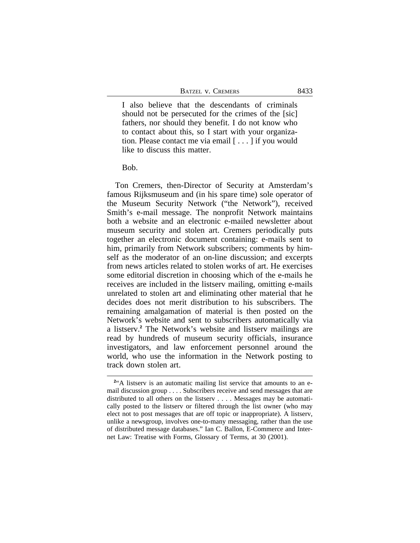BATZEL V. CREMERS 8433

I also believe that the descendants of criminals should not be persecuted for the crimes of the [sic] fathers, nor should they benefit. I do not know who to contact about this, so I start with your organization. Please contact me via email [ . . . ] if you would like to discuss this matter.

Bob.

Ton Cremers, then-Director of Security at Amsterdam's famous Rijksmuseum and (in his spare time) sole operator of the Museum Security Network ("the Network"), received Smith's e-mail message. The nonprofit Network maintains both a website and an electronic e-mailed newsletter about museum security and stolen art. Cremers periodically puts together an electronic document containing: e-mails sent to him, primarily from Network subscribers; comments by himself as the moderator of an on-line discussion; and excerpts from news articles related to stolen works of art. He exercises some editorial discretion in choosing which of the e-mails he receives are included in the listserv mailing, omitting e-mails unrelated to stolen art and eliminating other material that he decides does not merit distribution to his subscribers. The remaining amalgamation of material is then posted on the Network's website and sent to subscribers automatically via a listserv.**<sup>2</sup>** The Network's website and listserv mailings are read by hundreds of museum security officials, insurance investigators, and law enforcement personnel around the world, who use the information in the Network posting to track down stolen art.

<sup>&</sup>lt;sup>2</sup><sup>*A*</sup> listserv is an automatic mailing list service that amounts to an email discussion group . . . . Subscribers receive and send messages that are distributed to all others on the listserv . . . . Messages may be automatically posted to the listserv or filtered through the list owner (who may elect not to post messages that are off topic or inappropriate). A listserv, unlike a newsgroup, involves one-to-many messaging, rather than the use of distributed message databases." Ian C. Ballon, E-Commerce and Internet Law: Treatise with Forms, Glossary of Terms, at 30 (2001).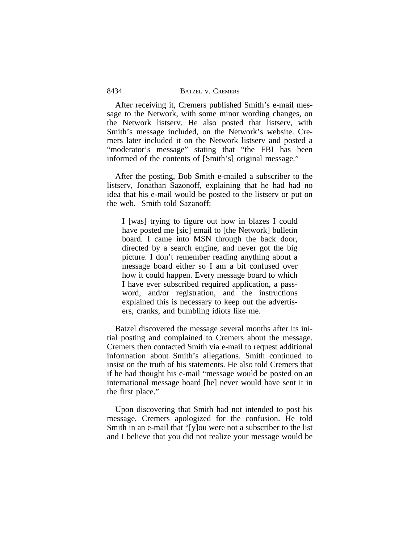| 8434 | <b>BATZEL V. CREMERS</b> |
|------|--------------------------|
|      |                          |

After receiving it, Cremers published Smith's e-mail message to the Network, with some minor wording changes, on the Network listserv. He also posted that listserv, with Smith's message included, on the Network's website. Cremers later included it on the Network listserv and posted a "moderator's message" stating that "the FBI has been informed of the contents of [Smith's] original message."

After the posting, Bob Smith e-mailed a subscriber to the listserv, Jonathan Sazonoff, explaining that he had had no idea that his e-mail would be posted to the listserv or put on the web. Smith told Sazanoff:

I [was] trying to figure out how in blazes I could have posted me [sic] email to [the Network] bulletin board. I came into MSN through the back door, directed by a search engine, and never got the big picture. I don't remember reading anything about a message board either so I am a bit confused over how it could happen. Every message board to which I have ever subscribed required application, a password, and/or registration, and the instructions explained this is necessary to keep out the advertisers, cranks, and bumbling idiots like me.

Batzel discovered the message several months after its initial posting and complained to Cremers about the message. Cremers then contacted Smith via e-mail to request additional information about Smith's allegations. Smith continued to insist on the truth of his statements. He also told Cremers that if he had thought his e-mail "message would be posted on an international message board [he] never would have sent it in the first place."

Upon discovering that Smith had not intended to post his message, Cremers apologized for the confusion. He told Smith in an e-mail that "[y]ou were not a subscriber to the list and I believe that you did not realize your message would be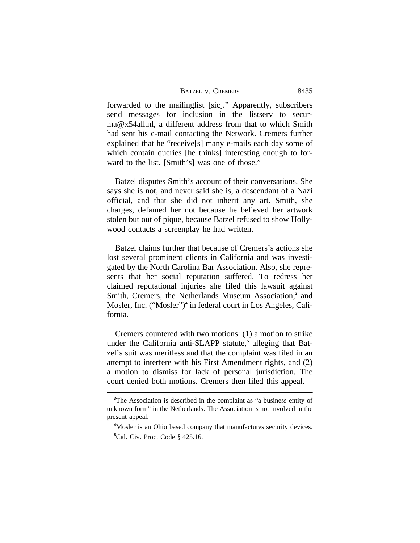| <b>BATZEL V. CREMERS</b> | 8435 |
|--------------------------|------|
|                          |      |

forwarded to the mailinglist [sic]." Apparently, subscribers send messages for inclusion in the listserv to securma@x54all.nl, a different address from that to which Smith had sent his e-mail contacting the Network. Cremers further explained that he "receive[s] many e-mails each day some of which contain queries [he thinks] interesting enough to forward to the list. [Smith's] was one of those."

Batzel disputes Smith's account of their conversations. She says she is not, and never said she is, a descendant of a Nazi official, and that she did not inherit any art. Smith, she charges, defamed her not because he believed her artwork stolen but out of pique, because Batzel refused to show Hollywood contacts a screenplay he had written.

Batzel claims further that because of Cremers's actions she lost several prominent clients in California and was investigated by the North Carolina Bar Association. Also, she represents that her social reputation suffered. To redress her claimed reputational injuries she filed this lawsuit against Smith, Cremers, the Netherlands Museum Association,<sup>3</sup> and Mosler, Inc. ("Mosler")**<sup>4</sup>** in federal court in Los Angeles, California.

Cremers countered with two motions: (1) a motion to strike under the California anti-SLAPP statute,**<sup>5</sup>** alleging that Batzel's suit was meritless and that the complaint was filed in an attempt to interfere with his First Amendment rights, and (2) a motion to dismiss for lack of personal jurisdiction. The court denied both motions. Cremers then filed this appeal.

**<sup>3</sup>**The Association is described in the complaint as "a business entity of unknown form" in the Netherlands. The Association is not involved in the present appeal.

**<sup>4</sup>**Mosler is an Ohio based company that manufactures security devices. **<sup>5</sup>**Cal. Civ. Proc. Code § 425.16.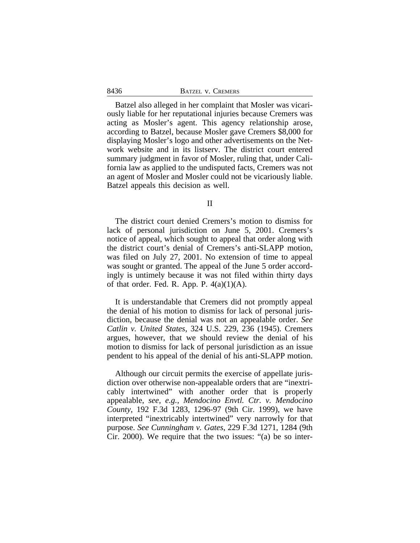|  | 8436 | BATZEL V. CREMERS |
|--|------|-------------------|
|--|------|-------------------|

Batzel also alleged in her complaint that Mosler was vicariously liable for her reputational injuries because Cremers was acting as Mosler's agent. This agency relationship arose, according to Batzel, because Mosler gave Cremers \$8,000 for displaying Mosler's logo and other advertisements on the Network website and in its listserv. The district court entered summary judgment in favor of Mosler, ruling that, under California law as applied to the undisputed facts, Cremers was not an agent of Mosler and Mosler could not be vicariously liable. Batzel appeals this decision as well.

II

The district court denied Cremers's motion to dismiss for lack of personal jurisdiction on June 5, 2001. Cremers's notice of appeal, which sought to appeal that order along with the district court's denial of Cremers's anti-SLAPP motion, was filed on July 27, 2001. No extension of time to appeal was sought or granted. The appeal of the June 5 order accordingly is untimely because it was not filed within thirty days of that order. Fed. R. App. P.  $4(a)(1)(A)$ .

It is understandable that Cremers did not promptly appeal the denial of his motion to dismiss for lack of personal jurisdiction, because the denial was not an appealable order. *See Catlin v. United States*, 324 U.S. 229, 236 (1945). Cremers argues, however, that we should review the denial of his motion to dismiss for lack of personal jurisdiction as an issue pendent to his appeal of the denial of his anti-SLAPP motion.

Although our circuit permits the exercise of appellate jurisdiction over otherwise non-appealable orders that are "inextricably intertwined" with another order that is properly appealable, *see, e.g.*, *Mendocino Envtl. Ctr. v. Mendocino County*, 192 F.3d 1283, 1296-97 (9th Cir. 1999), we have interpreted "inextricably intertwined" very narrowly for that purpose. *See Cunningham v. Gates*, 229 F.3d 1271, 1284 (9th Cir. 2000). We require that the two issues: "(a) be so inter-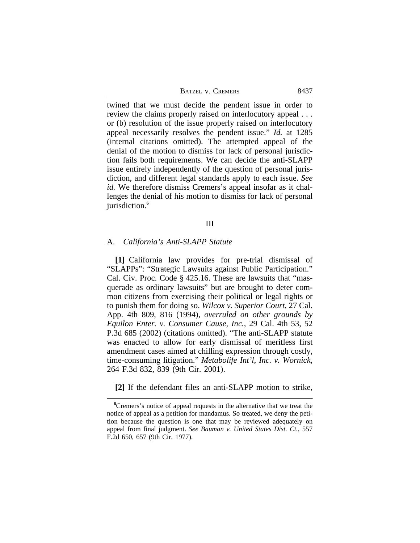| 8437<br>BATZEL V. CREMERS |  |
|---------------------------|--|
|---------------------------|--|

twined that we must decide the pendent issue in order to review the claims properly raised on interlocutory appeal . . . or (b) resolution of the issue properly raised on interlocutory appeal necessarily resolves the pendent issue." *Id.* at 1285 (internal citations omitted). The attempted appeal of the denial of the motion to dismiss for lack of personal jurisdiction fails both requirements. We can decide the anti-SLAPP issue entirely independently of the question of personal jurisdiction, and different legal standards apply to each issue. *See id.* We therefore dismiss Cremers's appeal insofar as it challenges the denial of his motion to dismiss for lack of personal jurisdiction.**<sup>6</sup>**

## III

#### A. *California's Anti-SLAPP Statute*

**[1]** California law provides for pre-trial dismissal of "SLAPPs": "Strategic Lawsuits against Public Participation." Cal. Civ. Proc. Code § 425.16. These are lawsuits that "masquerade as ordinary lawsuits" but are brought to deter common citizens from exercising their political or legal rights or to punish them for doing so. *Wilcox v. Superior Court*, 27 Cal. App. 4th 809, 816 (1994), *overruled on other grounds by Equilon Enter. v. Consumer Cause, Inc.*, 29 Cal. 4th 53, 52 P.3d 685 (2002) (citations omitted). "The anti-SLAPP statute was enacted to allow for early dismissal of meritless first amendment cases aimed at chilling expression through costly, time-consuming litigation." *Metabolife Int'l, Inc. v. Wornick*, 264 F.3d 832, 839 (9th Cir. 2001).

**[2]** If the defendant files an anti-SLAPP motion to strike,

**<sup>6</sup>**Cremers's notice of appeal requests in the alternative that we treat the notice of appeal as a petition for mandamus. So treated, we deny the petition because the question is one that may be reviewed adequately on appeal from final judgment. *See Bauman v. United States Dist. Ct.*, 557 F.2d 650, 657 (9th Cir. 1977).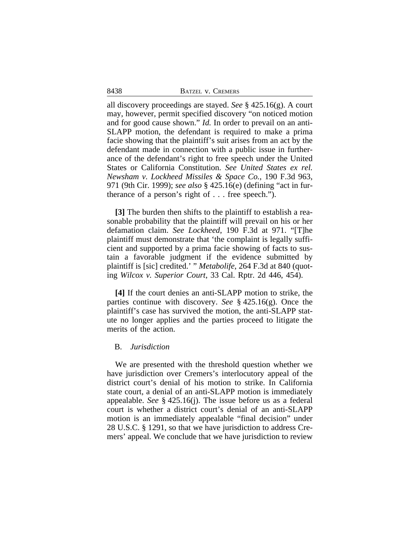all discovery proceedings are stayed. *See* § 425.16(g). A court may, however, permit specified discovery "on noticed motion and for good cause shown." *Id.* In order to prevail on an anti-SLAPP motion, the defendant is required to make a prima facie showing that the plaintiff's suit arises from an act by the defendant made in connection with a public issue in furtherance of the defendant's right to free speech under the United States or California Constitution. *See United States ex rel. Newsham v. Lockheed Missiles & Space Co.*, 190 F.3d 963, 971 (9th Cir. 1999); *see also* § 425.16(e) (defining "act in furtherance of a person's right of . . . free speech.").

**[3]** The burden then shifts to the plaintiff to establish a reasonable probability that the plaintiff will prevail on his or her defamation claim. *See Lockheed*, 190 F.3d at 971. "[T]he plaintiff must demonstrate that 'the complaint is legally sufficient and supported by a prima facie showing of facts to sustain a favorable judgment if the evidence submitted by plaintiff is [sic] credited.' " *Metabolife*, 264 F.3d at 840 (quoting *Wilcox v. Superior Court*, 33 Cal. Rptr. 2d 446, 454).

**[4]** If the court denies an anti-SLAPP motion to strike, the parties continue with discovery. *See* § 425.16(g). Once the plaintiff's case has survived the motion, the anti-SLAPP statute no longer applies and the parties proceed to litigate the merits of the action.

### B. *Jurisdiction*

We are presented with the threshold question whether we have jurisdiction over Cremers's interlocutory appeal of the district court's denial of his motion to strike. In California state court, a denial of an anti-SLAPP motion is immediately appealable. *See* § 425.16(j). The issue before us as a federal court is whether a district court's denial of an anti-SLAPP motion is an immediately appealable "final decision" under 28 U.S.C. § 1291, so that we have jurisdiction to address Cremers' appeal. We conclude that we have jurisdiction to review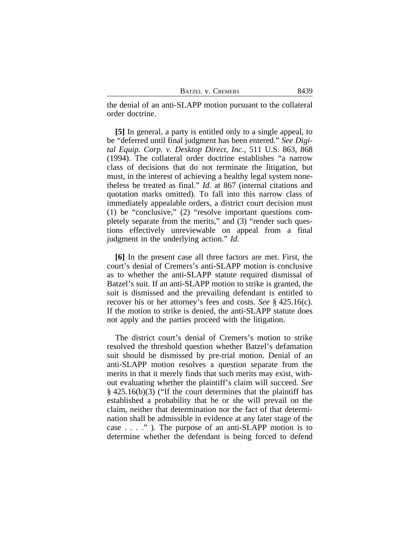BATZEL V. CREMERS 8439

the denial of an anti-SLAPP motion pursuant to the collateral order doctrine.

**[5]** In general, a party is entitled only to a single appeal, to be "deferred until final judgment has been entered." *See Digital Equip. Corp. v. Desktop Direct, Inc.*, 511 U.S. 863, 868 (1994). The collateral order doctrine establishes "a narrow class of decisions that do not terminate the litigation, but must, in the interest of achieving a healthy legal system nonetheless be treated as final." *Id.* at 867 (internal citations and quotation marks omitted). To fall into this narrow class of immediately appealable orders, a district court decision must (1) be "conclusive," (2) "resolve important questions completely separate from the merits," and (3) "render such questions effectively unreviewable on appeal from a final judgment in the underlying action." *Id.* 

**[6]** In the present case all three factors are met. First, the court's denial of Cremers's anti-SLAPP motion is conclusive as to whether the anti-SLAPP statute required dismissal of Batzel's suit. If an anti-SLAPP motion to strike is granted, the suit is dismissed and the prevailing defendant is entitled to recover his or her attorney's fees and costs. *See* § 425.16(c). If the motion to strike is denied, the anti-SLAPP statute does not apply and the parties proceed with the litigation.

The district court's denial of Cremers's motion to strike resolved the threshold question whether Batzel's defamation suit should be dismissed by pre-trial motion. Denial of an anti-SLAPP motion resolves a question separate from the merits in that it merely finds that such merits may exist, without evaluating whether the plaintiff's claim will succeed. *See*  $§$  425.16(b)(3) ("If the court determines that the plaintiff has established a probability that he or she will prevail on the claim, neither that determination nor the fact of that determination shall be admissible in evidence at any later stage of the case . . . ." ). The purpose of an anti-SLAPP motion is to determine whether the defendant is being forced to defend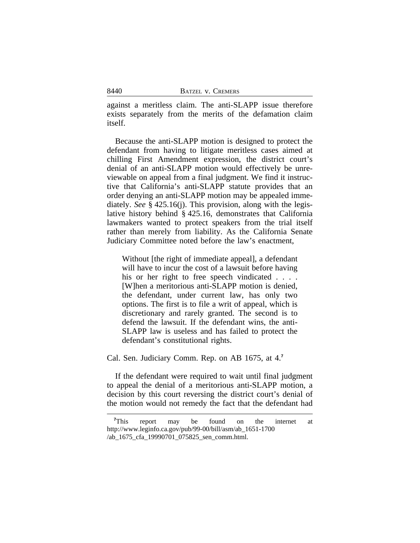| 8440 | <b>BATZEL V. CREMERS</b> |  |
|------|--------------------------|--|
|      |                          |  |

against a meritless claim. The anti-SLAPP issue therefore exists separately from the merits of the defamation claim itself.

Because the anti-SLAPP motion is designed to protect the defendant from having to litigate meritless cases aimed at chilling First Amendment expression, the district court's denial of an anti-SLAPP motion would effectively be unreviewable on appeal from a final judgment. We find it instructive that California's anti-SLAPP statute provides that an order denying an anti-SLAPP motion may be appealed immediately. *See* § 425.16(j). This provision, along with the legislative history behind § 425.16, demonstrates that California lawmakers wanted to protect speakers from the trial itself rather than merely from liability. As the California Senate Judiciary Committee noted before the law's enactment,

Without [the right of immediate appeal], a defendant will have to incur the cost of a lawsuit before having his or her right to free speech vindicated . . . . [W]hen a meritorious anti-SLAPP motion is denied, the defendant, under current law, has only two options. The first is to file a writ of appeal, which is discretionary and rarely granted. The second is to defend the lawsuit. If the defendant wins, the anti-SLAPP law is useless and has failed to protect the defendant's constitutional rights.

Cal. Sen. Judiciary Comm. Rep. on AB 1675, at 4.**<sup>7</sup>**

If the defendant were required to wait until final judgment to appeal the denial of a meritorious anti-SLAPP motion, a decision by this court reversing the district court's denial of the motion would not remedy the fact that the defendant had

<sup>&</sup>lt;sup>7</sup>This report may be found on the internet at http://www.leginfo.ca.gov/pub/99-00/bill/asm/ab\_1651-1700 /ab\_1675\_cfa\_19990701\_075825\_sen\_comm.html.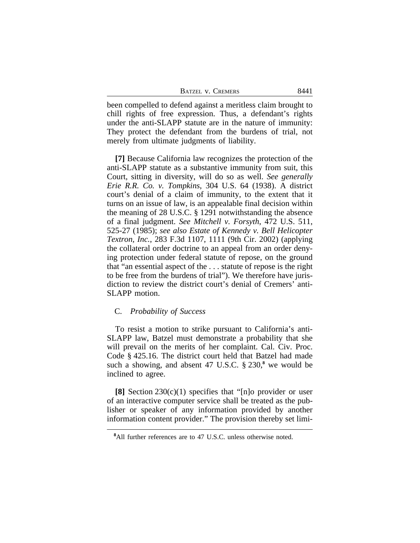| <b>BATZEL V. CREMERS</b> | 8441 |
|--------------------------|------|
|--------------------------|------|

been compelled to defend against a meritless claim brought to chill rights of free expression. Thus, a defendant's rights under the anti-SLAPP statute are in the nature of immunity: They protect the defendant from the burdens of trial, not merely from ultimate judgments of liability.

**[7]** Because California law recognizes the protection of the anti-SLAPP statute as a substantive immunity from suit, this Court, sitting in diversity, will do so as well. *See generally Erie R.R. Co. v. Tompkins*, 304 U.S. 64 (1938). A district court's denial of a claim of immunity, to the extent that it turns on an issue of law, is an appealable final decision within the meaning of 28 U.S.C. § 1291 notwithstanding the absence of a final judgment. *See Mitchell v. Forsyth*, 472 U.S. 511, 525-27 (1985); *see also Estate of Kennedy v. Bell Helicopter Textron, Inc.*, 283 F.3d 1107, 1111 (9th Cir. 2002) (applying the collateral order doctrine to an appeal from an order denying protection under federal statute of repose, on the ground that "an essential aspect of the . . . statute of repose is the right to be free from the burdens of trial"). We therefore have jurisdiction to review the district court's denial of Cremers' anti-SLAPP motion.

## C. *Probability of Success*

To resist a motion to strike pursuant to California's anti-SLAPP law, Batzel must demonstrate a probability that she will prevail on the merits of her complaint. Cal. Civ. Proc. Code § 425.16. The district court held that Batzel had made such a showing, and absent 47 U.S.C. § 230,**<sup>8</sup>** we would be inclined to agree.

**[8]** Section 230(c)(1) specifies that "[n]o provider or user of an interactive computer service shall be treated as the publisher or speaker of any information provided by another information content provider." The provision thereby set limi-

<sup>&</sup>lt;sup>8</sup>All further references are to 47 U.S.C. unless otherwise noted.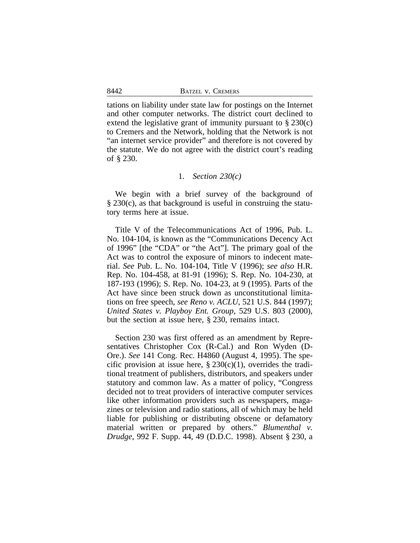tations on liability under state law for postings on the Internet and other computer networks. The district court declined to extend the legislative grant of immunity pursuant to  $\S 230(c)$ to Cremers and the Network, holding that the Network is not "an internet service provider" and therefore is not covered by the statute. We do not agree with the district court's reading of § 230.

### 1. *Section 230(c)*

We begin with a brief survey of the background of § 230(c), as that background is useful in construing the statutory terms here at issue.

Title V of the Telecommunications Act of 1996, Pub. L. No. 104-104, is known as the "Communications Decency Act of 1996" [the "CDA" or "the Act"]. The primary goal of the Act was to control the exposure of minors to indecent material. *See* Pub. L. No. 104-104, Title V (1996); *see also* H.R. Rep. No. 104-458, at 81-91 (1996); S. Rep. No. 104-230, at 187-193 (1996); S. Rep. No. 104-23, at 9 (1995). Parts of the Act have since been struck down as unconstitutional limitations on free speech, *see Reno v. ACLU*, 521 U.S. 844 (1997); *United States v. Playboy Ent. Group*, 529 U.S. 803 (2000), but the section at issue here, § 230, remains intact.

Section 230 was first offered as an amendment by Representatives Christopher Cox (R-Cal.) and Ron Wyden (D-Ore.). *See* 141 Cong. Rec. H4860 (August 4, 1995). The specific provision at issue here,  $\S 230(c)(1)$ , overrides the traditional treatment of publishers, distributors, and speakers under statutory and common law. As a matter of policy, "Congress decided not to treat providers of interactive computer services like other information providers such as newspapers, magazines or television and radio stations, all of which may be held liable for publishing or distributing obscene or defamatory material written or prepared by others." *Blumenthal v. Drudge*, 992 F. Supp. 44, 49 (D.D.C. 1998). Absent § 230, a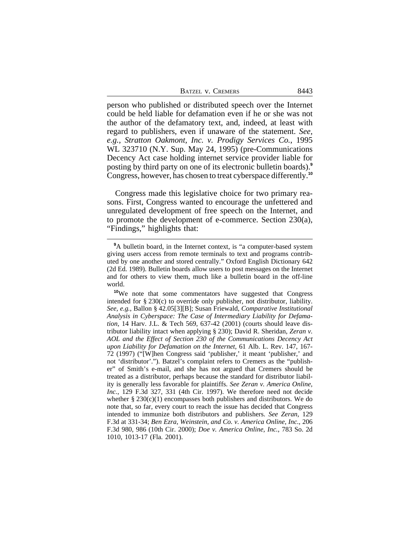|  | BATZEL V. CREMERS | 8443 |
|--|-------------------|------|
|  |                   |      |

person who published or distributed speech over the Internet could be held liable for defamation even if he or she was not the author of the defamatory text, and, indeed, at least with regard to publishers, even if unaware of the statement. *See, e.g.*, *Stratton Oakmont, Inc. v. Prodigy Services Co.*, 1995 WL 323710 (N.Y. Sup. May 24, 1995) (pre-Communications Decency Act case holding internet service provider liable for posting by third party on one of its electronic bulletin boards).**<sup>9</sup>** Congress, however, has chosen to treat cyberspace differently.**<sup>10</sup>**

Congress made this legislative choice for two primary reasons. First, Congress wanted to encourage the unfettered and unregulated development of free speech on the Internet, and to promote the development of e-commerce. Section 230(a), "Findings," highlights that:

<sup>&</sup>lt;sup>9</sup>A bulletin board, in the Internet context, is "a computer-based system giving users access from remote terminals to text and programs contributed by one another and stored centrally." Oxford English Dictionary 642 (2d Ed. 1989). Bulletin boards allow users to post messages on the Internet and for others to view them, much like a bulletin board in the off-line world.

**<sup>10</sup>**We note that some commentators have suggested that Congress intended for § 230(c) to override only publisher, not distributor, liability. *See, e.g.*, Ballon § 42.05[3][B]; Susan Friewald, *Comparative Institutional Analysis in Cyberspace: The Case of Intermediary Liability for Defamation*, 14 Harv. J.L. & Tech 569, 637-42 (2001) (courts should leave distributor liability intact when applying § 230); David R. Sheridan, *Zeran v. AOL and the Effect of Section 230 of the Communications Decency Act upon Liability for Defamation on the Internet*, 61 Alb. L. Rev. 147, 167- 72 (1997) ("[W]hen Congress said 'publisher,' it meant 'publisher,' and not 'distributor'."). Batzel's complaint refers to Cremers as the "publisher" of Smith's e-mail, and she has not argued that Cremers should be treated as a distributor, perhaps because the standard for distributor liability is generally less favorable for plaintiffs. *See Zeran v. America Online, Inc.*, 129 F.3d 327, 331 (4th Cir. 1997). We therefore need not decide whether  $\S 230(c)(1)$  encompasses both publishers and distributors. We do note that, so far, every court to reach the issue has decided that Congress intended to immunize both distributors and publishers. *See Zeran*, 129 F.3d at 331-34; *Ben Ezra, Weinstein, and Co. v. America Online, Inc.*, 206 F.3d 980, 986 (10th Cir. 2000); *Doe v. America Online, Inc.*, 783 So. 2d 1010, 1013-17 (Fla. 2001).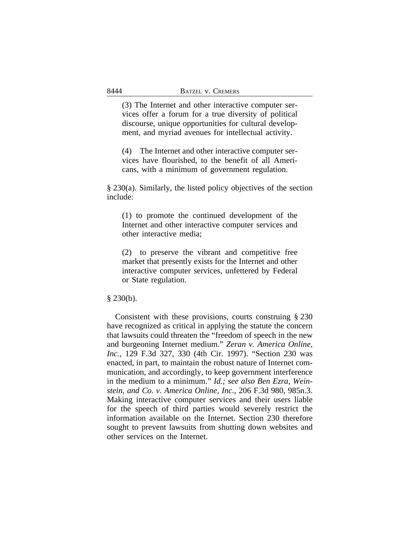(3) The Internet and other interactive computer services offer a forum for a true diversity of political discourse, unique opportunities for cultural development, and myriad avenues for intellectual activity.

(4) The Internet and other interactive computer services have flourished, to the benefit of all Americans, with a minimum of government regulation.

§ 230(a)*.* Similarly, the listed policy objectives of the section include:

(1) to promote the continued development of the Internet and other interactive computer services and other interactive media;

(2) to preserve the vibrant and competitive free market that presently exists for the Internet and other interactive computer services, unfettered by Federal or State regulation.

## § 230(b).

Consistent with these provisions, courts construing § 230 have recognized as critical in applying the statute the concern that lawsuits could threaten the "freedom of speech in the new and burgeoning Internet medium." *Zeran v. America Online, Inc.*, 129 F.3d 327, 330 (4th Cir. 1997). "Section 230 was enacted, in part, to maintain the robust nature of Internet communication, and accordingly, to keep government interference in the medium to a minimum." *Id.; see also Ben Ezra, Weinstein, and Co. v. America Online, Inc.*, 206 F.3d 980, 985n.3. Making interactive computer services and their users liable for the speech of third parties would severely restrict the information available on the Internet. Section 230 therefore sought to prevent lawsuits from shutting down websites and other services on the Internet.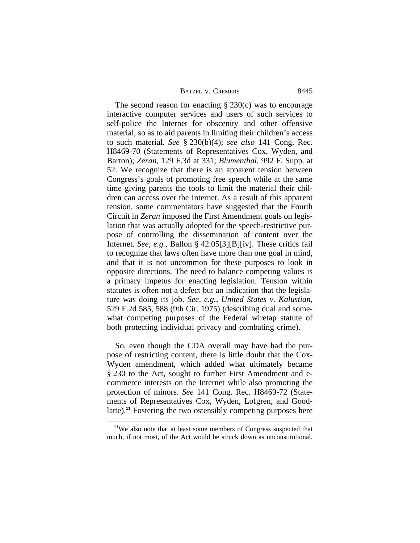| BATZEL V. CREMERS | 8445 |
|-------------------|------|
|                   |      |

The second reason for enacting  $\S 230(c)$  was to encourage interactive computer services and users of such services to self-police the Internet for obscenity and other offensive material, so as to aid parents in limiting their children's access to such material. *See* § 230(b)(4); *see also* 141 Cong. Rec. H8469-70 (Statements of Representatives Cox, Wyden, and Barton); *Zeran*, 129 F.3d at 331; *Blumenthal*, 992 F. Supp. at 52. We recognize that there is an apparent tension between Congress's goals of promoting free speech while at the same time giving parents the tools to limit the material their children can access over the Internet. As a result of this apparent tension, some commentators have suggested that the Fourth Circuit in *Zeran* imposed the First Amendment goals on legislation that was actually adopted for the speech-restrictive purpose of controlling the dissemination of content over the Internet. *See, e.g.*, Ballon § 42.05[3][B][iv]. These critics fail to recognize that laws often have more than one goal in mind, and that it is not uncommon for these purposes to look in opposite directions. The need to balance competing values is a primary impetus for enacting legislation. Tension within statutes is often not a defect but an indication that the legislature was doing its job. *See, e.g.*, *United States v. Kalustian*, 529 F.2d 585, 588 (9th Cir. 1975) (describing dual and somewhat competing purposes of the Federal wiretap statute of both protecting individual privacy and combating crime).

So, even though the CDA overall may have had the purpose of restricting content, there is little doubt that the Cox-Wyden amendment, which added what ultimately became § 230 to the Act, sought to further First Amendment and ecommerce interests on the Internet while also promoting the protection of minors. *See* 141 Cong. Rec. H8469-72 (Statements of Representatives Cox, Wyden, Lofgren, and Goodlatte).**<sup>11</sup>** Fostering the two ostensibly competing purposes here

**<sup>11</sup>**We also note that at least some members of Congress suspected that much, if not most, of the Act would be struck down as unconstitutional.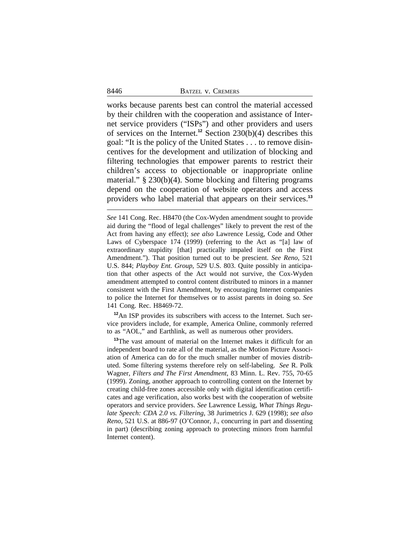| 8446 | <b>BATZEL V. CREMERS</b> |
|------|--------------------------|
|      |                          |

works because parents best can control the material accessed by their children with the cooperation and assistance of Internet service providers ("ISPs") and other providers and users of services on the Internet.**<sup>12</sup>** Section 230(b)(4) describes this goal: "It is the policy of the United States . . . to remove disincentives for the development and utilization of blocking and filtering technologies that empower parents to restrict their children's access to objectionable or inappropriate online material." § 230(b)(4). Some blocking and filtering programs depend on the cooperation of website operators and access providers who label material that appears on their services.**<sup>13</sup>**

**<sup>12</sup>**An ISP provides its subscribers with access to the Internet. Such service providers include, for example, America Online, commonly referred to as "AOL," and Earthlink, as well as numerous other providers.

**<sup>13</sup>**The vast amount of material on the Internet makes it difficult for an independent board to rate all of the material, as the Motion Picture Association of America can do for the much smaller number of movies distributed. Some filtering systems therefore rely on self-labeling. *See* R. Polk Wagner, *Filters and The First Amendment*, 83 Minn. L. Rev. 755, 70-65 (1999). Zoning, another approach to controlling content on the Internet by creating child-free zones accessible only with digital identification certificates and age verification, also works best with the cooperation of website operators and service providers. *See* Lawrence Lessig, *What Things Regulate Speech: CDA 2.0 vs. Filtering*, 38 Jurimetrics J. 629 (1998); *see also Reno*, 521 U.S. at 886-97 (O'Connor, J., concurring in part and dissenting in part) (describing zoning approach to protecting minors from harmful Internet content).

*See* 141 Cong. Rec. H8470 (the Cox-Wyden amendment sought to provide aid during the "flood of legal challenges" likely to prevent the rest of the Act from having any effect); *see also* Lawrence Lessig, Code and Other Laws of Cyberspace 174 (1999) (referring to the Act as "[a] law of extraordinary stupidity [that] practically impaled itself on the First Amendment."). That position turned out to be prescient. *See Reno*, 521 U.S. 844; *Playboy Ent. Group*, 529 U.S. 803. Quite possibly in anticipation that other aspects of the Act would not survive, the Cox-Wyden amendment attempted to control content distributed to minors in a manner consistent with the First Amendment, by encouraging Internet companies to police the Internet for themselves or to assist parents in doing so. *See* 141 Cong. Rec. H8469-72.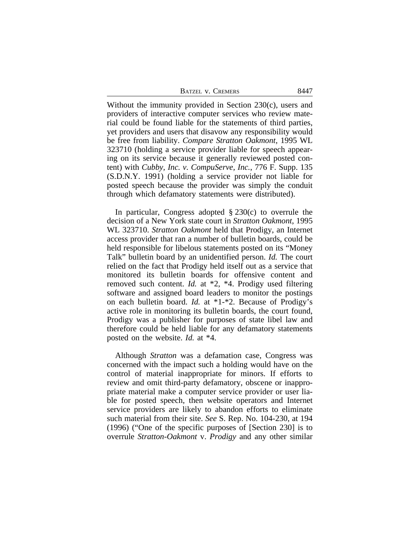| BATZEL V. CREMERS | 8447 |
|-------------------|------|
|-------------------|------|

Without the immunity provided in Section 230(c), users and providers of interactive computer services who review material could be found liable for the statements of third parties, yet providers and users that disavow any responsibility would be free from liability. *Compare Stratton Oakmont*, 1995 WL 323710 (holding a service provider liable for speech appearing on its service because it generally reviewed posted content) with *Cubby, Inc. v. CompuServe, Inc.*, 776 F. Supp. 135 (S.D.N.Y. 1991) (holding a service provider not liable for posted speech because the provider was simply the conduit through which defamatory statements were distributed).

In particular, Congress adopted  $\S 230(c)$  to overrule the decision of a New York state court in *Stratton Oakmont*, 1995 WL 323710. *Stratton Oakmont* held that Prodigy, an Internet access provider that ran a number of bulletin boards, could be held responsible for libelous statements posted on its "Money Talk" bulletin board by an unidentified person. *Id.* The court relied on the fact that Prodigy held itself out as a service that monitored its bulletin boards for offensive content and removed such content. *Id.* at \*2, \*4. Prodigy used filtering software and assigned board leaders to monitor the postings on each bulletin board. *Id.* at \*1-\*2. Because of Prodigy's active role in monitoring its bulletin boards, the court found, Prodigy was a publisher for purposes of state libel law and therefore could be held liable for any defamatory statements posted on the website. *Id.* at \*4.

Although *Stratton* was a defamation case, Congress was concerned with the impact such a holding would have on the control of material inappropriate for minors. If efforts to review and omit third-party defamatory, obscene or inappropriate material make a computer service provider or user liable for posted speech, then website operators and Internet service providers are likely to abandon efforts to eliminate such material from their site. *See* S. Rep. No. 104-230, at 194 (1996) ("One of the specific purposes of [Section 230] is to overrule *Stratton-Oakmont* v. *Prodigy* and any other similar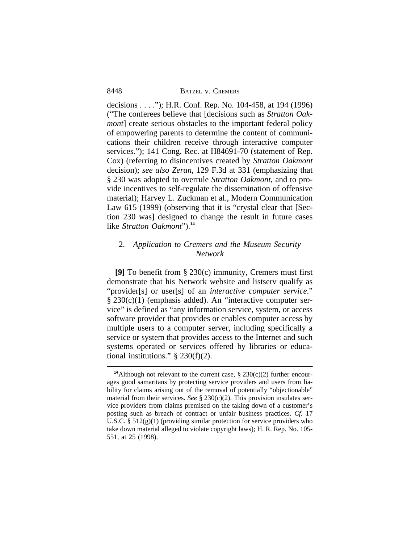| 8448 | <b>BATZEL V. CREMERS</b> |
|------|--------------------------|
|      |                          |

decisions . . . ."); H.R. Conf. Rep. No. 104-458, at 194 (1996) ("The conferees believe that [decisions such as *Stratton Oakmont*] create serious obstacles to the important federal policy of empowering parents to determine the content of communications their children receive through interactive computer services."); 141 Cong. Rec. at H84691-70 (statement of Rep. Cox) (referring to disincentives created by *Stratton Oakmont* decision); *see also Zeran*, 129 F.3d at 331 (emphasizing that § 230 was adopted to overrule *Stratton Oakmont*, and to provide incentives to self-regulate the dissemination of offensive material); Harvey L. Zuckman et al., Modern Communication Law 615 (1999) (observing that it is "crystal clear that [Section 230 was] designed to change the result in future cases like *Stratton Oakmont*").**<sup>14</sup>**

## 2. *Application to Cremers and the Museum Security Network*

**[9]** To benefit from § 230(c) immunity, Cremers must first demonstrate that his Network website and listserv qualify as "provider[s] or user[s] of an *interactive computer service*." § 230(c)(1) (emphasis added). An "interactive computer service" is defined as "any information service, system, or access software provider that provides or enables computer access by multiple users to a computer server, including specifically a service or system that provides access to the Internet and such systems operated or services offered by libraries or educational institutions."  $\S$  230(f)(2).

<sup>&</sup>lt;sup>14</sup>Although not relevant to the current case,  $\S 230(c)(2)$  further encourages good samaritans by protecting service providers and users from liability for claims arising out of the removal of potentially "objectionable" material from their services. *See*  $\S 230(c)(2)$ . This provision insulates service providers from claims premised on the taking down of a customer's posting such as breach of contract or unfair business practices. *Cf.* 17 U.S.C.  $\S 512(g)(1)$  (providing similar protection for service providers who take down material alleged to violate copyright laws); H. R. Rep. No. 105- 551, at 25 (1998).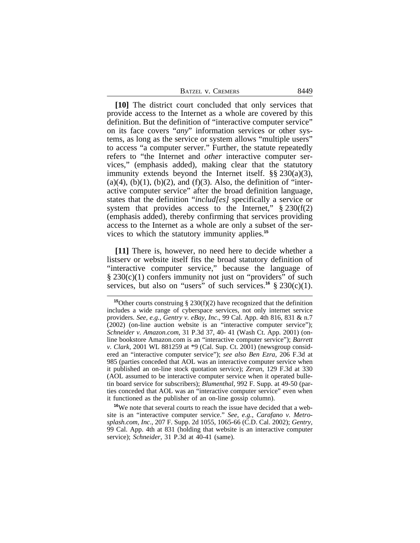| <b>BATZEL V. CREMERS</b> | 8449 |
|--------------------------|------|
|--------------------------|------|

**[10]** The district court concluded that only services that provide access to the Internet as a whole are covered by this definition. But the definition of "interactive computer service" on its face covers "*any*" information services or other systems, as long as the service or system allows "multiple users" to access "a computer server." Further, the statute repeatedly refers to "the Internet and *other* interactive computer services," (emphasis added), making clear that the statutory immunity extends beyond the Internet itself. §§ 230(a)(3), (a)(4), (b)(1), (b)(2), and (f)(3). Also, the definition of "interactive computer service" after the broad definition language, states that the definition "*includ[es]* specifically a service or system that provides access to the Internet,"  $\S 230(f(2))$ (emphasis added), thereby confirming that services providing access to the Internet as a whole are only a subset of the services to which the statutory immunity applies.**<sup>15</sup>**

**[11]** There is, however, no need here to decide whether a listserv or website itself fits the broad statutory definition of "interactive computer service," because the language of  $\S 230(c)(1)$  confers immunity not just on "providers" of such services, but also on "users" of such services.<sup>16</sup> § 230(c)(1).

**<sup>16</sup>**We note that several courts to reach the issue have decided that a website is an "interactive computer service." *See, e.g.*, *Carafano v. Metrosplash.com, Inc*., 207 F. Supp. 2d 1055, 1065-66 (C.D. Cal. 2002); *Gentry*, 99 Cal. App. 4th at 831 (holding that website is an interactive computer service); *Schneider*, 31 P.3d at 40-41 (same).

<sup>&</sup>lt;sup>15</sup>Other courts construing  $\S 230(f)(2)$  have recognized that the definition includes a wide range of cyberspace services, not only internet service providers. *See, e.g.*, *Gentry v. eBay, Inc*., 99 Cal. App. 4th 816, 831 & n.7 (2002) (on-line auction website is an "interactive computer service"); *Schneider v. Amazon.com*, 31 P.3d 37, 40- 41 (Wash Ct. App. 2001) (online bookstore Amazon.com is an "interactive computer service"); *Barrett v. Clark*, 2001 WL 881259 at \*9 (Cal. Sup. Ct. 2001) (newsgroup considered an "interactive computer service"); *see also Ben Ezra*, 206 F.3d at 985 (parties conceded that AOL was an interactive computer service when it published an on-line stock quotation service); *Zeran*, 129 F.3d at 330 (AOL assumed to be interactive computer service when it operated bulletin board service for subscribers); *Blumenthal*, 992 F. Supp. at 49-50 (parties conceded that AOL was an "interactive computer service" even when it functioned as the publisher of an on-line gossip column).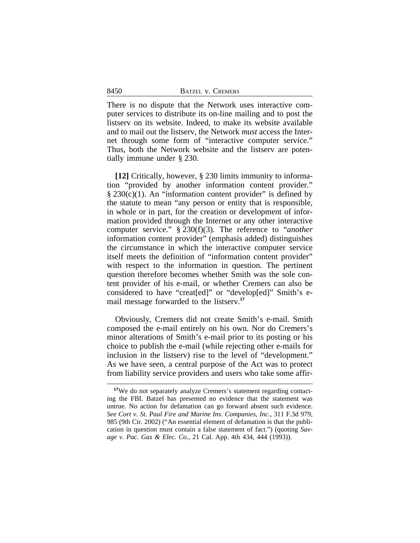|  | 8450 | BATZEL V. CREMERS |
|--|------|-------------------|
|--|------|-------------------|

There is no dispute that the Network uses interactive computer services to distribute its on-line mailing and to post the listserv on its website. Indeed, to make its website available and to mail out the listserv, the Network *must* access the Internet through some form of "interactive computer service." Thus, both the Network website and the listserv are potentially immune under § 230.

**[12]** Critically, however, § 230 limits immunity to information "provided by another information content provider."  $\S 230(c)(1)$ . An "information content provider" is defined by the statute to mean "any person or entity that is responsible, in whole or in part, for the creation or development of information provided through the Internet or any other interactive computer service." § 230(f)(3). The reference to "*another* information content provider" (emphasis added) distinguishes the circumstance in which the interactive computer service itself meets the definition of "information content provider" with respect to the information in question. The pertinent question therefore becomes whether Smith was the sole content provider of his e-mail, or whether Cremers can also be considered to have "creat[ed]" or "develop[ed]" Smith's email message forwarded to the listserv.**<sup>17</sup>**

Obviously, Cremers did not create Smith's e-mail. Smith composed the e-mail entirely on his own. Nor do Cremers's minor alterations of Smith's e-mail prior to its posting or his choice to publish the e-mail (while rejecting other e-mails for inclusion in the listserv) rise to the level of "development." As we have seen, a central purpose of the Act was to protect from liability service providers and users who take some affir-

<sup>&</sup>lt;sup>17</sup>We do not separately analyze Cremers's statement regarding contacting the FBI. Batzel has presented no evidence that the statement was untrue. No action for defamation can go forward absent such evidence. *See Cort v. St. Paul Fire and Marine Ins. Companies, Inc.*, 311 F.3d 979, 985 (9th Cir. 2002) ("An essential element of defamation is that the publication in question must contain a false statement of fact.") (quoting *Savage v. Pac. Gas & Elec. Co.*, 21 Cal. App. 4th 434, 444 (1993)).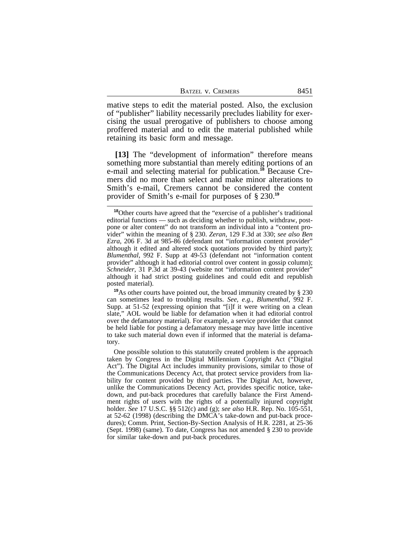| <b>BATZEL V. CREMERS</b> | 8451 |
|--------------------------|------|
|--------------------------|------|

mative steps to edit the material posted. Also, the exclusion of "publisher" liability necessarily precludes liability for exercising the usual prerogative of publishers to choose among proffered material and to edit the material published while retaining its basic form and message.

**[13]** The "development of information" therefore means something more substantial than merely editing portions of an e-mail and selecting material for publication.**18** Because Cremers did no more than select and make minor alterations to Smith's e-mail, Cremers cannot be considered the content provider of Smith's e-mail for purposes of § 230.**<sup>19</sup>**

**<sup>19</sup>**As other courts have pointed out, the broad immunity created by § 230 can sometimes lead to troubling results. *See, e.g.*, *Blumenthal*, 992 F. Supp. at 51-52 (expressing opinion that "[i]f it were writing on a clean slate," AOL would be liable for defamation when it had editorial control over the defamatory material). For example, a service provider that cannot be held liable for posting a defamatory message may have little incentive to take such material down even if informed that the material is defamatory.

One possible solution to this statutorily created problem is the approach taken by Congress in the Digital Millennium Copyright Act ("Digital Act"). The Digital Act includes immunity provisions, similar to those of the Communications Decency Act, that protect service providers from liability for content provided by third parties. The Digital Act, however, unlike the Communications Decency Act, provides specific notice, takedown, and put-back procedures that carefully balance the First Amendment rights of users with the rights of a potentially injured copyright holder. *See* 17 U.S.C. §§ 512(c) and (g); *see also* H.R. Rep. No. 105-551, at 52-62 (1998) (describing the DMCA's take-down and put-back procedures); Comm. Print, Section-By-Section Analysis of H.R. 2281, at 25-36 (Sept. 1998) (same). To date, Congress has not amended § 230 to provide for similar take-down and put-back procedures.

**<sup>18</sup>**Other courts have agreed that the "exercise of a publisher's traditional editorial functions — such as deciding whether to publish, withdraw, postpone or alter content" do not transform an individual into a "content provider" within the meaning of § 230. *Zeran*, 129 F.3d at 330; *see also Ben Ezra*, 206 F. 3d at 985-86 (defendant not "information content provider" although it edited and altered stock quotations provided by third party); *Blumenthal*, 992 F. Supp at 49-53 (defendant not "information content provider" although it had editorial control over content in gossip column); *Schneider*, 31 P.3d at 39-43 (website not "information content provider" although it had strict posting guidelines and could edit and republish posted material).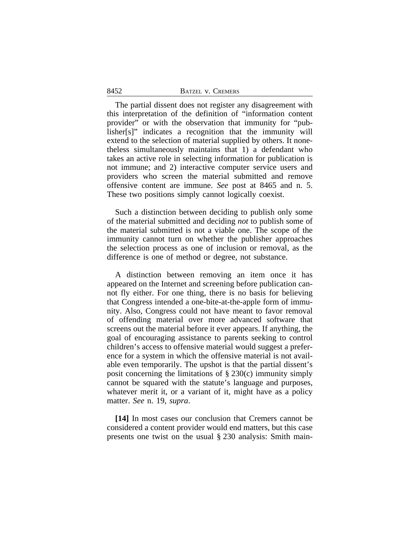| 8452 | BATZEL V. CREMERS |
|------|-------------------|
|      |                   |

The partial dissent does not register any disagreement with this interpretation of the definition of "information content provider" or with the observation that immunity for "publisher[s]" indicates a recognition that the immunity will extend to the selection of material supplied by others. It nonetheless simultaneously maintains that 1) a defendant who takes an active role in selecting information for publication is not immune; and 2) interactive computer service users and providers who screen the material submitted and remove offensive content are immune. *See* post at 8465 and n. 5. These two positions simply cannot logically coexist.

Such a distinction between deciding to publish only some of the material submitted and deciding *not* to publish some of the material submitted is not a viable one. The scope of the immunity cannot turn on whether the publisher approaches the selection process as one of inclusion or removal, as the difference is one of method or degree, not substance.

A distinction between removing an item once it has appeared on the Internet and screening before publication cannot fly either. For one thing, there is no basis for believing that Congress intended a one-bite-at-the-apple form of immunity. Also, Congress could not have meant to favor removal of offending material over more advanced software that screens out the material before it ever appears. If anything, the goal of encouraging assistance to parents seeking to control children's access to offensive material would suggest a preference for a system in which the offensive material is not available even temporarily. The upshot is that the partial dissent's posit concerning the limitations of § 230(c) immunity simply cannot be squared with the statute's language and purposes, whatever merit it, or a variant of it, might have as a policy matter. *See* n. 19, *supra*.

**[14]** In most cases our conclusion that Cremers cannot be considered a content provider would end matters, but this case presents one twist on the usual § 230 analysis: Smith main-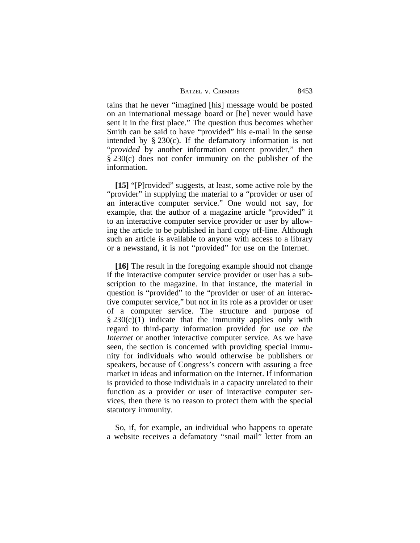| <b>BATZEL V. CREMERS</b> | 8453 |
|--------------------------|------|
|--------------------------|------|

tains that he never "imagined [his] message would be posted on an international message board or [he] never would have sent it in the first place." The question thus becomes whether Smith can be said to have "provided" his e-mail in the sense intended by  $\S 230(c)$ . If the defamatory information is not "*provided* by another information content provider," then § 230(c) does not confer immunity on the publisher of the information.

**[15]** "[P]rovided" suggests, at least, some active role by the "provider" in supplying the material to a "provider or user of an interactive computer service." One would not say, for example, that the author of a magazine article "provided" it to an interactive computer service provider or user by allowing the article to be published in hard copy off-line. Although such an article is available to anyone with access to a library or a newsstand, it is not "provided" for use on the Internet.

**[16]** The result in the foregoing example should not change if the interactive computer service provider or user has a subscription to the magazine. In that instance, the material in question is "provided" to the "provider or user of an interactive computer service," but not in its role as a provider or user of a computer service. The structure and purpose of  $\S 230(c)(1)$  indicate that the immunity applies only with regard to third-party information provided *for use on the Internet* or another interactive computer service. As we have seen, the section is concerned with providing special immunity for individuals who would otherwise be publishers or speakers, because of Congress's concern with assuring a free market in ideas and information on the Internet. If information is provided to those individuals in a capacity unrelated to their function as a provider or user of interactive computer services, then there is no reason to protect them with the special statutory immunity.

So, if, for example, an individual who happens to operate a website receives a defamatory "snail mail" letter from an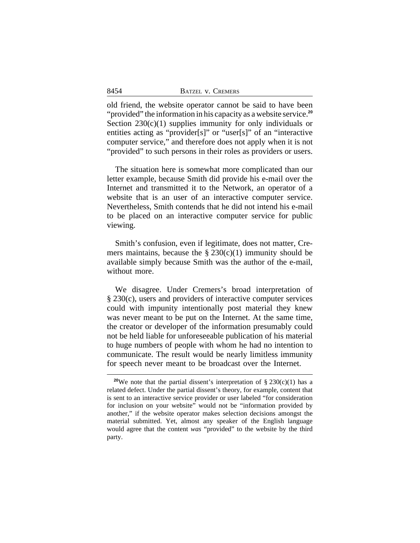| 8454<br>BATZEL V. CREMERS |  |
|---------------------------|--|
|---------------------------|--|

old friend, the website operator cannot be said to have been "provided" the information in his capacity as a website service.**<sup>20</sup>** Section  $230(c)(1)$  supplies immunity for only individuals or entities acting as "provider[s]" or "user[s]" of an "interactive computer service," and therefore does not apply when it is not "provided" to such persons in their roles as providers or users.

The situation here is somewhat more complicated than our letter example, because Smith did provide his e-mail over the Internet and transmitted it to the Network, an operator of a website that is an user of an interactive computer service. Nevertheless, Smith contends that he did not intend his e-mail to be placed on an interactive computer service for public viewing.

Smith's confusion, even if legitimate, does not matter, Cremers maintains, because the  $\S 230(c)(1)$  immunity should be available simply because Smith was the author of the e-mail, without more.

We disagree. Under Cremers's broad interpretation of § 230(c), users and providers of interactive computer services could with impunity intentionally post material they knew was never meant to be put on the Internet. At the same time, the creator or developer of the information presumably could not be held liable for unforeseeable publication of his material to huge numbers of people with whom he had no intention to communicate. The result would be nearly limitless immunity for speech never meant to be broadcast over the Internet.

<sup>&</sup>lt;sup>20</sup>We note that the partial dissent's interpretation of  $\S 230(c)(1)$  has a related defect. Under the partial dissent's theory, for example, content that is sent to an interactive service provider or user labeled "for consideration for inclusion on your website" would not be "information provided by another," if the website operator makes selection decisions amongst the material submitted. Yet, almost any speaker of the English language would agree that the content *was* "provided" to the website by the third party.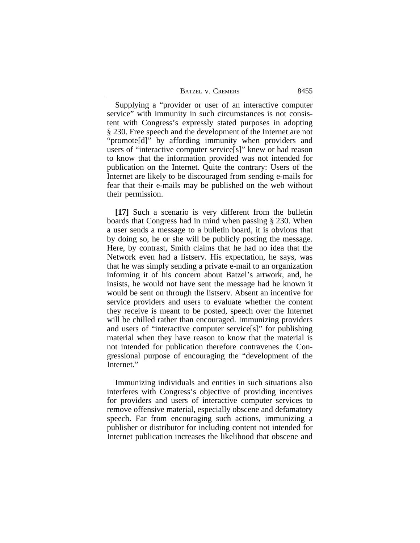| <b>BATZEL V. CREMERS</b> | 8455 |
|--------------------------|------|
|--------------------------|------|

Supplying a "provider or user of an interactive computer service" with immunity in such circumstances is not consistent with Congress's expressly stated purposes in adopting § 230. Free speech and the development of the Internet are not "promote[d]" by affording immunity when providers and users of "interactive computer service[s]" knew or had reason to know that the information provided was not intended for publication on the Internet. Quite the contrary: Users of the Internet are likely to be discouraged from sending e-mails for fear that their e-mails may be published on the web without their permission.

**[17]** Such a scenario is very different from the bulletin boards that Congress had in mind when passing § 230. When a user sends a message to a bulletin board, it is obvious that by doing so, he or she will be publicly posting the message. Here, by contrast, Smith claims that he had no idea that the Network even had a listserv. His expectation, he says, was that he was simply sending a private e-mail to an organization informing it of his concern about Batzel's artwork, and, he insists, he would not have sent the message had he known it would be sent on through the listserv. Absent an incentive for service providers and users to evaluate whether the content they receive is meant to be posted, speech over the Internet will be chilled rather than encouraged. Immunizing providers and users of "interactive computer service[s]" for publishing material when they have reason to know that the material is not intended for publication therefore contravenes the Congressional purpose of encouraging the "development of the Internet."

Immunizing individuals and entities in such situations also interferes with Congress's objective of providing incentives for providers and users of interactive computer services to remove offensive material, especially obscene and defamatory speech. Far from encouraging such actions, immunizing a publisher or distributor for including content not intended for Internet publication increases the likelihood that obscene and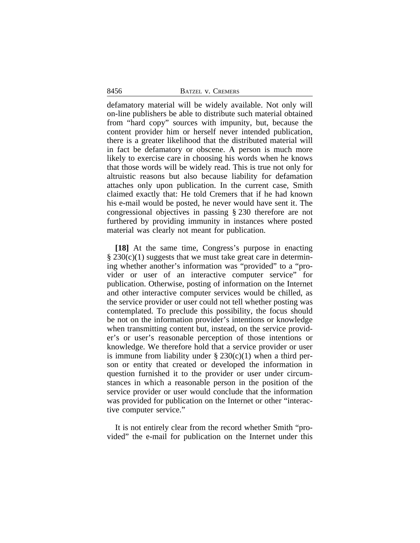| 8456 | BATZEL V. CREMERS |
|------|-------------------|
|      |                   |

defamatory material will be widely available. Not only will on-line publishers be able to distribute such material obtained from "hard copy" sources with impunity, but, because the content provider him or herself never intended publication, there is a greater likelihood that the distributed material will in fact be defamatory or obscene. A person is much more likely to exercise care in choosing his words when he knows that those words will be widely read. This is true not only for altruistic reasons but also because liability for defamation attaches only upon publication. In the current case, Smith claimed exactly that: He told Cremers that if he had known his e-mail would be posted, he never would have sent it. The congressional objectives in passing § 230 therefore are not furthered by providing immunity in instances where posted material was clearly not meant for publication.

**[18]** At the same time, Congress's purpose in enacting  $\S 230(c)(1)$  suggests that we must take great care in determining whether another's information was "provided" to a "provider or user of an interactive computer service" for publication. Otherwise, posting of information on the Internet and other interactive computer services would be chilled, as the service provider or user could not tell whether posting was contemplated. To preclude this possibility, the focus should be not on the information provider's intentions or knowledge when transmitting content but, instead, on the service provider's or user's reasonable perception of those intentions or knowledge. We therefore hold that a service provider or user is immune from liability under  $\S 230(c)(1)$  when a third person or entity that created or developed the information in question furnished it to the provider or user under circumstances in which a reasonable person in the position of the service provider or user would conclude that the information was provided for publication on the Internet or other "interactive computer service."

It is not entirely clear from the record whether Smith "provided" the e-mail for publication on the Internet under this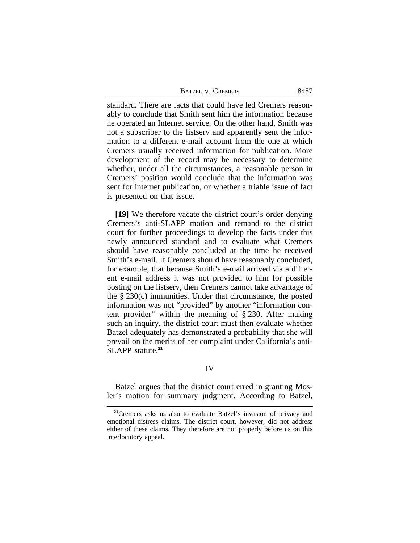| <b>BATZEL V. CREMERS</b> | 8457 |
|--------------------------|------|
|--------------------------|------|

standard. There are facts that could have led Cremers reasonably to conclude that Smith sent him the information because he operated an Internet service. On the other hand, Smith was not a subscriber to the listserv and apparently sent the information to a different e-mail account from the one at which Cremers usually received information for publication. More development of the record may be necessary to determine whether, under all the circumstances, a reasonable person in Cremers' position would conclude that the information was sent for internet publication, or whether a triable issue of fact is presented on that issue.

**[19]** We therefore vacate the district court's order denying Cremers's anti-SLAPP motion and remand to the district court for further proceedings to develop the facts under this newly announced standard and to evaluate what Cremers should have reasonably concluded at the time he received Smith's e-mail. If Cremers should have reasonably concluded, for example, that because Smith's e-mail arrived via a different e-mail address it was not provided to him for possible posting on the listserv, then Cremers cannot take advantage of the § 230(c) immunities. Under that circumstance, the posted information was not "provided" by another "information content provider" within the meaning of § 230. After making such an inquiry, the district court must then evaluate whether Batzel adequately has demonstrated a probability that she will prevail on the merits of her complaint under California's anti-SLAPP statute.**<sup>21</sup>**

## IV

Batzel argues that the district court erred in granting Mosler's motion for summary judgment. According to Batzel,

**<sup>21</sup>**Cremers asks us also to evaluate Batzel's invasion of privacy and emotional distress claims. The district court, however, did not address either of these claims. They therefore are not properly before us on this interlocutory appeal.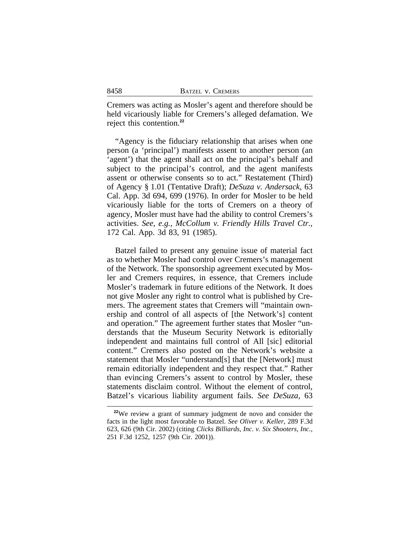8458

Cremers was acting as Mosler's agent and therefore should be held vicariously liable for Cremers's alleged defamation. We reject this contention.**<sup>22</sup>**

"Agency is the fiduciary relationship that arises when one person (a 'principal') manifests assent to another person (an 'agent') that the agent shall act on the principal's behalf and subject to the principal's control, and the agent manifests assent or otherwise consents so to act." Restatement (Third) of Agency § 1.01 (Tentative Draft); *DeSuza v. Andersack*, 63 Cal. App. 3d 694, 699 (1976). In order for Mosler to be held vicariously liable for the torts of Cremers on a theory of agency, Mosler must have had the ability to control Cremers's activities. *See, e.g., McCollum v. Friendly Hills Travel Ctr.*, 172 Cal. App. 3d 83, 91 (1985).

Batzel failed to present any genuine issue of material fact as to whether Mosler had control over Cremers's management of the Network. The sponsorship agreement executed by Mosler and Cremers requires, in essence, that Cremers include Mosler's trademark in future editions of the Network. It does not give Mosler any right to control what is published by Cremers. The agreement states that Cremers will "maintain ownership and control of all aspects of [the Network's] content and operation." The agreement further states that Mosler "understands that the Museum Security Network is editorially independent and maintains full control of All [sic] editorial content." Cremers also posted on the Network's website a statement that Mosler "understand[s] that the [Network] must remain editorially independent and they respect that." Rather than evincing Cremers's assent to control by Mosler, these statements disclaim control. Without the element of control, Batzel's vicarious liability argument fails. *See DeSuza*, 63

**<sup>22</sup>**We review a grant of summary judgment de novo and consider the facts in the light most favorable to Batzel. *See Oliver v. Keller*, 289 F.3d 623, 626 (9th Cir. 2002) (citing *Clicks Billiards, Inc. v. Six Shooters, Inc.*, 251 F.3d 1252, 1257 (9th Cir. 2001)).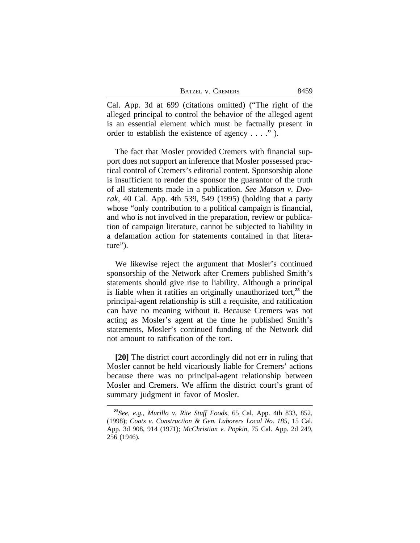| BATZEL V. CREMERS | 8459 |
|-------------------|------|
|-------------------|------|

Cal. App. 3d at 699 (citations omitted) ("The right of the alleged principal to control the behavior of the alleged agent is an essential element which must be factually present in order to establish the existence of agency . . . ." ).

The fact that Mosler provided Cremers with financial support does not support an inference that Mosler possessed practical control of Cremers's editorial content. Sponsorship alone is insufficient to render the sponsor the guarantor of the truth of all statements made in a publication. *See Matson v. Dvorak*, 40 Cal. App. 4th 539, 549 (1995) (holding that a party whose "only contribution to a political campaign is financial, and who is not involved in the preparation, review or publication of campaign literature, cannot be subjected to liability in a defamation action for statements contained in that literature").

We likewise reject the argument that Mosler's continued sponsorship of the Network after Cremers published Smith's statements should give rise to liability. Although a principal is liable when it ratifies an originally unauthorized tort,**<sup>23</sup>** the principal-agent relationship is still a requisite, and ratification can have no meaning without it. Because Cremers was not acting as Mosler's agent at the time he published Smith's statements, Mosler's continued funding of the Network did not amount to ratification of the tort.

**[20]** The district court accordingly did not err in ruling that Mosler cannot be held vicariously liable for Cremers' actions because there was no principal-agent relationship between Mosler and Cremers. We affirm the district court's grant of summary judgment in favor of Mosler.

**<sup>23</sup>***See, e.g., Murillo v. Rite Stuff Foods*, 65 Cal. App. 4th 833, 852, (1998); *Coats v. Construction & Gen. Laborers Local No. 185*, 15 Cal. App. 3d 908, 914 (1971); *McChristian v. Popkin*, 75 Cal. App. 2d 249, 256 (1946).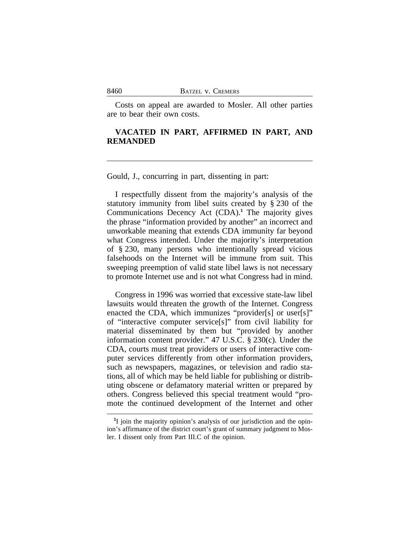Costs on appeal are awarded to Mosler. All other parties are to bear their own costs.

## **VACATED IN PART, AFFIRMED IN PART, AND REMANDED**

Gould, J., concurring in part, dissenting in part:

I respectfully dissent from the majority's analysis of the statutory immunity from libel suits created by § 230 of the Communications Decency Act (CDA).**<sup>1</sup>** The majority gives the phrase "information provided by another" an incorrect and unworkable meaning that extends CDA immunity far beyond what Congress intended. Under the majority's interpretation of § 230, many persons who intentionally spread vicious falsehoods on the Internet will be immune from suit. This sweeping preemption of valid state libel laws is not necessary to promote Internet use and is not what Congress had in mind.

Congress in 1996 was worried that excessive state-law libel lawsuits would threaten the growth of the Internet. Congress enacted the CDA, which immunizes "provider[s] or user[s]" of "interactive computer service[s]" from civil liability for material disseminated by them but "provided by another information content provider." 47 U.S.C. § 230(c). Under the CDA, courts must treat providers or users of interactive computer services differently from other information providers, such as newspapers, magazines, or television and radio stations, all of which may be held liable for publishing or distributing obscene or defamatory material written or prepared by others. Congress believed this special treatment would "promote the continued development of the Internet and other

<sup>&</sup>lt;sup>1</sup>I join the majority opinion's analysis of our jurisdiction and the opinion's affirmance of the district court's grant of summary judgment to Mosler. I dissent only from Part III.C of the opinion.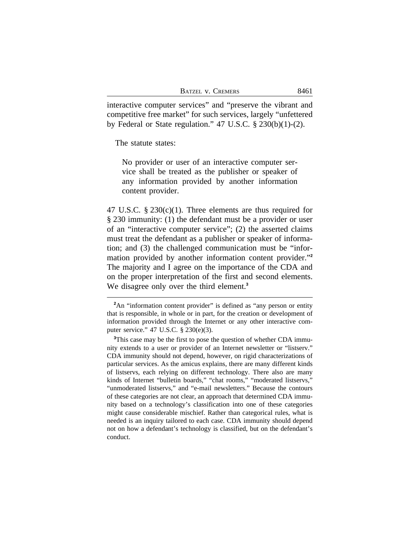| <b>BATZEL V. CREMERS</b> | 8461 |
|--------------------------|------|
|--------------------------|------|

interactive computer services" and "preserve the vibrant and competitive free market" for such services, largely "unfettered by Federal or State regulation." 47 U.S.C. § 230(b)(1)-(2).

The statute states:

No provider or user of an interactive computer service shall be treated as the publisher or speaker of any information provided by another information content provider.

47 U.S.C.  $\S 230(c)(1)$ . Three elements are thus required for § 230 immunity: (1) the defendant must be a provider or user of an "interactive computer service"; (2) the asserted claims must treat the defendant as a publisher or speaker of information; and (3) the challenged communication must be "information provided by another information content provider." **2** The majority and I agree on the importance of the CDA and on the proper interpretation of the first and second elements. We disagree only over the third element.**<sup>3</sup>**

<sup>&</sup>lt;sup>2</sup>An "information content provider" is defined as "any person or entity" that is responsible, in whole or in part, for the creation or development of information provided through the Internet or any other interactive computer service." 47 U.S.C. § 230(e)(3).

**<sup>3</sup>**This case may be the first to pose the question of whether CDA immunity extends to a user or provider of an Internet newsletter or "listserv." CDA immunity should not depend, however, on rigid characterizations of particular services. As the amicus explains, there are many different kinds of listservs, each relying on different technology. There also are many kinds of Internet "bulletin boards," "chat rooms," "moderated listservs," "unmoderated listservs," and "e-mail newsletters." Because the contours of these categories are not clear, an approach that determined CDA immunity based on a technology's classification into one of these categories might cause considerable mischief. Rather than categorical rules, what is needed is an inquiry tailored to each case. CDA immunity should depend not on how a defendant's technology is classified, but on the defendant's conduct.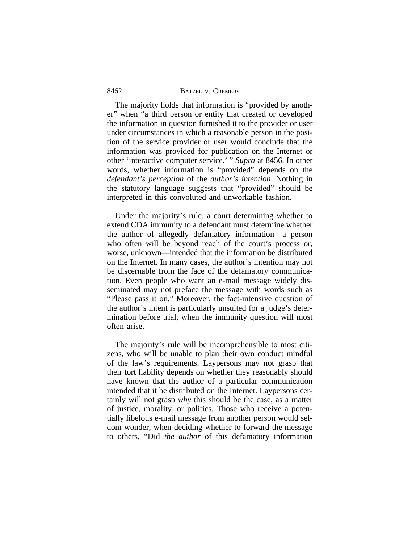#### 8462 **BATZEL V. CREMERS**

The majority holds that information is "provided by another" when "a third person or entity that created or developed the information in question furnished it to the provider or user under circumstances in which a reasonable person in the position of the service provider or user would conclude that the information was provided for publication on the Internet or other 'interactive computer service.' " *Supra* at 8456. In other words, whether information is "provided" depends on the *defendant's perception* of the *author's intention*. Nothing in the statutory language suggests that "provided" should be interpreted in this convoluted and unworkable fashion.

Under the majority's rule, a court determining whether to extend CDA immunity to a defendant must determine whether the author of allegedly defamatory information—a person who often will be beyond reach of the court's process or, worse, unknown—intended that the information be distributed on the Internet. In many cases, the author's intention may not be discernable from the face of the defamatory communication. Even people who want an e-mail message widely disseminated may not preface the message with words such as "Please pass it on." Moreover, the fact-intensive question of the author's intent is particularly unsuited for a judge's determination before trial, when the immunity question will most often arise.

The majority's rule will be incomprehensible to most citizens, who will be unable to plan their own conduct mindful of the law's requirements. Laypersons may not grasp that their tort liability depends on whether they reasonably should have known that the author of a particular communication intended that it be distributed on the Internet. Laypersons certainly will not grasp *why* this should be the case, as a matter of justice, morality, or politics. Those who receive a potentially libelous e-mail message from another person would seldom wonder, when deciding whether to forward the message to others, "Did *the author* of this defamatory information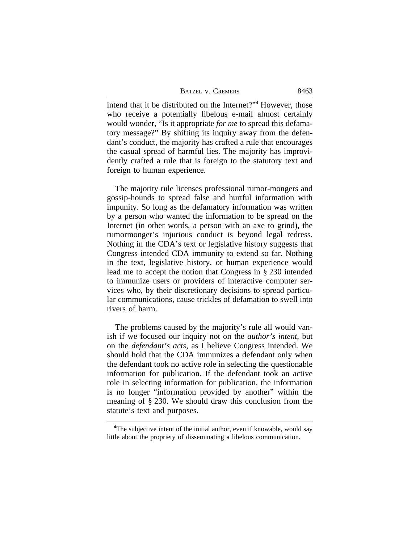| <b>BATZEL V. CREMERS</b> | 8463 |
|--------------------------|------|
|                          |      |

intend that it be distributed on the Internet?"<sup>4</sup> However, those who receive a potentially libelous e-mail almost certainly would wonder, "Is it appropriate *for me* to spread this defamatory message?" By shifting its inquiry away from the defendant's conduct, the majority has crafted a rule that encourages the casual spread of harmful lies. The majority has improvidently crafted a rule that is foreign to the statutory text and foreign to human experience.

The majority rule licenses professional rumor-mongers and gossip-hounds to spread false and hurtful information with impunity. So long as the defamatory information was written by a person who wanted the information to be spread on the Internet (in other words, a person with an axe to grind), the rumormonger's injurious conduct is beyond legal redress. Nothing in the CDA's text or legislative history suggests that Congress intended CDA immunity to extend so far. Nothing in the text, legislative history, or human experience would lead me to accept the notion that Congress in § 230 intended to immunize users or providers of interactive computer services who, by their discretionary decisions to spread particular communications, cause trickles of defamation to swell into rivers of harm.

The problems caused by the majority's rule all would vanish if we focused our inquiry not on the *author's intent*, but on the *defendant's acts*, as I believe Congress intended. We should hold that the CDA immunizes a defendant only when the defendant took no active role in selecting the questionable information for publication. If the defendant took an active role in selecting information for publication, the information is no longer "information provided by another" within the meaning of § 230. We should draw this conclusion from the statute's text and purposes.

<sup>&</sup>lt;sup>4</sup>The subjective intent of the initial author, even if knowable, would say little about the propriety of disseminating a libelous communication.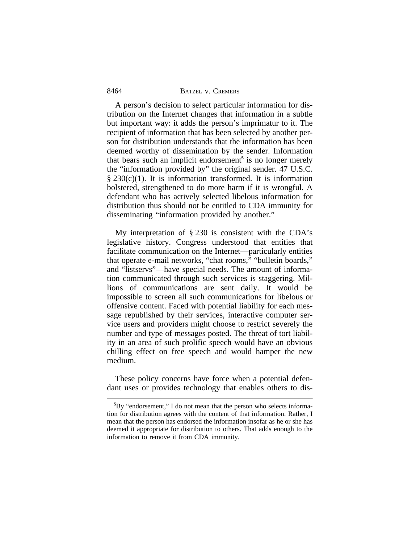|  | 8464 | BATZEL V. CREMERS |  |
|--|------|-------------------|--|
|--|------|-------------------|--|

A person's decision to select particular information for distribution on the Internet changes that information in a subtle but important way: it adds the person's imprimatur to it. The recipient of information that has been selected by another person for distribution understands that the information has been deemed worthy of dissemination by the sender. Information that bears such an implicit endorsement**<sup>5</sup>** is no longer merely the "information provided by" the original sender. 47 U.S.C.  $\S 230(c)(1)$ . It is information transformed. It is information bolstered, strengthened to do more harm if it is wrongful. A defendant who has actively selected libelous information for distribution thus should not be entitled to CDA immunity for disseminating "information provided by another."

My interpretation of § 230 is consistent with the CDA's legislative history. Congress understood that entities that facilitate communication on the Internet—particularly entities that operate e-mail networks, "chat rooms," "bulletin boards," and "listservs"—have special needs. The amount of information communicated through such services is staggering. Millions of communications are sent daily. It would be impossible to screen all such communications for libelous or offensive content. Faced with potential liability for each message republished by their services, interactive computer service users and providers might choose to restrict severely the number and type of messages posted. The threat of tort liability in an area of such prolific speech would have an obvious chilling effect on free speech and would hamper the new medium.

These policy concerns have force when a potential defendant uses or provides technology that enables others to dis-

**<sup>5</sup>**By "endorsement," I do not mean that the person who selects information for distribution agrees with the content of that information. Rather, I mean that the person has endorsed the information insofar as he or she has deemed it appropriate for distribution to others. That adds enough to the information to remove it from CDA immunity.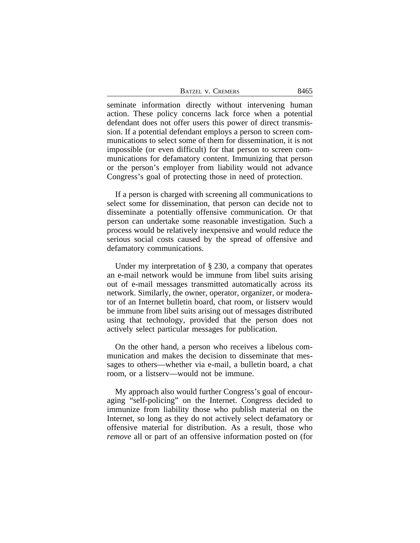| <b>BATZEL V. CREMERS</b> | 8465 |
|--------------------------|------|
|--------------------------|------|

seminate information directly without intervening human action. These policy concerns lack force when a potential defendant does not offer users this power of direct transmission. If a potential defendant employs a person to screen communications to select some of them for dissemination, it is not impossible (or even difficult) for that person to screen communications for defamatory content. Immunizing that person or the person's employer from liability would not advance Congress's goal of protecting those in need of protection.

If a person is charged with screening all communications to select some for dissemination, that person can decide not to disseminate a potentially offensive communication. Or that person can undertake some reasonable investigation. Such a process would be relatively inexpensive and would reduce the serious social costs caused by the spread of offensive and defamatory communications.

Under my interpretation of § 230, a company that operates an e-mail network would be immune from libel suits arising out of e-mail messages transmitted automatically across its network. Similarly, the owner, operator, organizer, or moderator of an Internet bulletin board, chat room, or listserv would be immune from libel suits arising out of messages distributed using that technology, provided that the person does not actively select particular messages for publication.

On the other hand, a person who receives a libelous communication and makes the decision to disseminate that messages to others—whether via e-mail, a bulletin board, a chat room, or a listserv—would not be immune.

My approach also would further Congress's goal of encouraging "self-policing" on the Internet. Congress decided to immunize from liability those who publish material on the Internet, so long as they do not actively select defamatory or offensive material for distribution. As a result, those who *remove* all or part of an offensive information posted on (for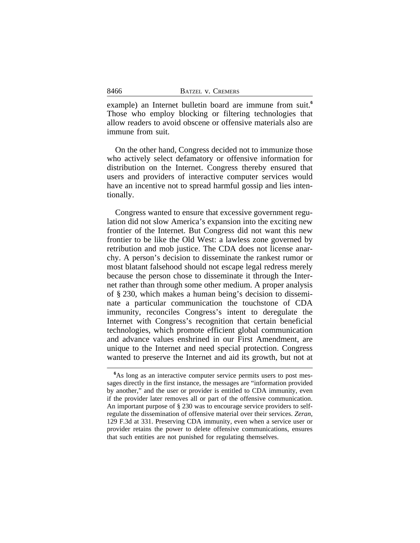| 8466 | BATZEL V. CREMERS |
|------|-------------------|
|------|-------------------|

example) an Internet bulletin board are immune from suit.**<sup>6</sup>** Those who employ blocking or filtering technologies that allow readers to avoid obscene or offensive materials also are immune from suit.

On the other hand, Congress decided not to immunize those who actively select defamatory or offensive information for distribution on the Internet. Congress thereby ensured that users and providers of interactive computer services would have an incentive not to spread harmful gossip and lies intentionally.

Congress wanted to ensure that excessive government regulation did not slow America's expansion into the exciting new frontier of the Internet. But Congress did not want this new frontier to be like the Old West: a lawless zone governed by retribution and mob justice. The CDA does not license anarchy. A person's decision to disseminate the rankest rumor or most blatant falsehood should not escape legal redress merely because the person chose to disseminate it through the Internet rather than through some other medium. A proper analysis of § 230, which makes a human being's decision to disseminate a particular communication the touchstone of CDA immunity, reconciles Congress's intent to deregulate the Internet with Congress's recognition that certain beneficial technologies, which promote efficient global communication and advance values enshrined in our First Amendment, are unique to the Internet and need special protection. Congress wanted to preserve the Internet and aid its growth, but not at

**<sup>6</sup>**As long as an interactive computer service permits users to post messages directly in the first instance, the messages are "information provided by another," and the user or provider is entitled to CDA immunity, even if the provider later removes all or part of the offensive communication. An important purpose of § 230 was to encourage service providers to selfregulate the dissemination of offensive material over their services. *Zeran*, 129 F.3d at 331. Preserving CDA immunity, even when a service user or provider retains the power to delete offensive communications, ensures that such entities are not punished for regulating themselves.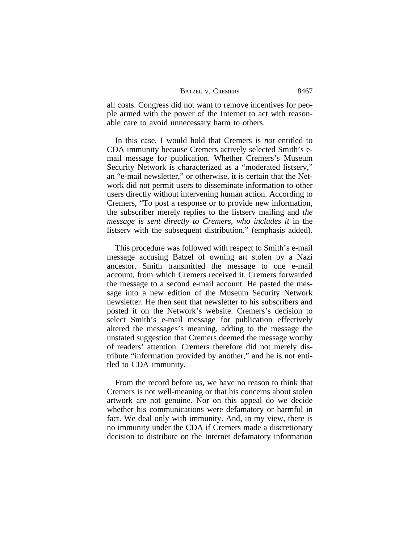| <b>BATZEL V. CREMERS</b> | 8467 |
|--------------------------|------|
|--------------------------|------|

all costs. Congress did not want to remove incentives for people armed with the power of the Internet to act with reasonable care to avoid unnecessary harm to others.

In this case, I would hold that Cremers is *not* entitled to CDA immunity because Cremers actively selected Smith's email message for publication. Whether Cremers's Museum Security Network is characterized as a "moderated listserv," an "e-mail newsletter," or otherwise, it is certain that the Network did not permit users to disseminate information to other users directly without intervening human action. According to Cremers, "To post a response or to provide new information, the subscriber merely replies to the listserv mailing and *the message is sent directly to Cremers, who includes it* in the listserv with the subsequent distribution." (emphasis added).

This procedure was followed with respect to Smith's e-mail message accusing Batzel of owning art stolen by a Nazi ancestor. Smith transmitted the message to one e-mail account, from which Cremers received it. Cremers forwarded the message to a second e-mail account. He pasted the message into a new edition of the Museum Security Network newsletter. He then sent that newsletter to his subscribers and posted it on the Network's website. Cremers's decision to select Smith's e-mail message for publication effectively altered the messages's meaning, adding to the message the unstated suggestion that Cremers deemed the message worthy of readers' attention. Cremers therefore did not merely distribute "information provided by another," and he is not entitled to CDA immunity.

From the record before us, we have no reason to think that Cremers is not well-meaning or that his concerns about stolen artwork are not genuine. Nor on this appeal do we decide whether his communications were defamatory or harmful in fact. We deal only with immunity. And, in my view, there is no immunity under the CDA if Cremers made a discretionary decision to distribute on the Internet defamatory information